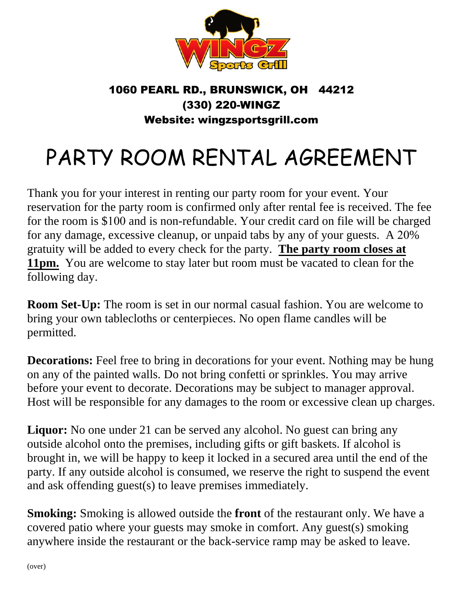

## 1060 PEARL RD., BRUNSWICK, OH 44212 (330) 220-WINGZ Website: wingzsportsgrill.com

## PARTY ROOM RENTAL AGREEMENT

Thank you for your interest in renting our party room for your event. Your reservation for the party room is confirmed only after rental fee is received. The fee for the room is \$100 and is non-refundable. Your credit card on file will be charged for any damage, excessive cleanup, or unpaid tabs by any of your guests. A 20% gratuity will be added to every check for the party. **The party room closes at 11pm.** You are welcome to stay later but room must be vacated to clean for the following day.

**Room Set-Up:** The room is set in our normal casual fashion. You are welcome to bring your own tablecloths or centerpieces. No open flame candles will be permitted.

**Decorations:** Feel free to bring in decorations for your event. Nothing may be hung on any of the painted walls. Do not bring confetti or sprinkles. You may arrive before your event to decorate. Decorations may be subject to manager approval. Host will be responsible for any damages to the room or excessive clean up charges.

Liquor: No one under 21 can be served any alcohol. No guest can bring any outside alcohol onto the premises, including gifts or gift baskets. If alcohol is brought in, we will be happy to keep it locked in a secured area until the end of the party. If any outside alcohol is consumed, we reserve the right to suspend the event and ask offending guest(s) to leave premises immediately.

**Smoking:** Smoking is allowed outside the **front** of the restaurant only. We have a covered patio where your guests may smoke in comfort. Any guest(s) smoking anywhere inside the restaurant or the back-service ramp may be asked to leave.